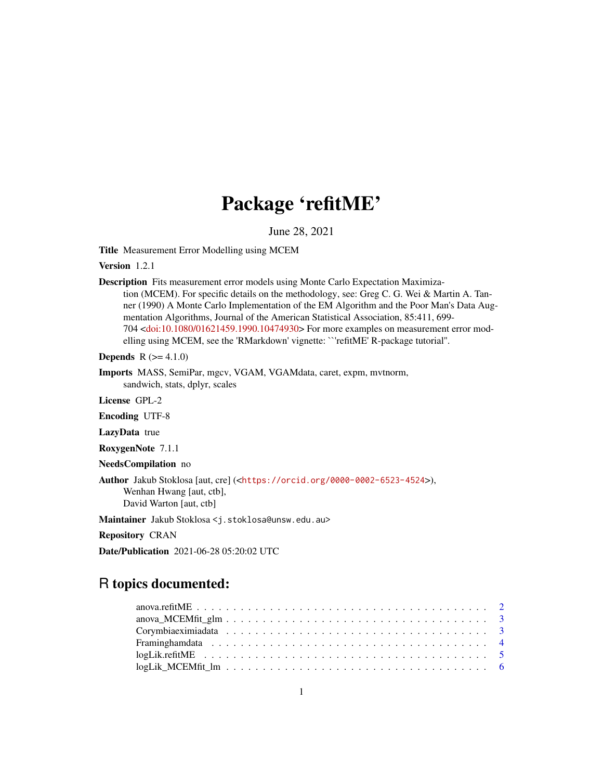# Package 'refitME'

June 28, 2021

<span id="page-0-0"></span>Title Measurement Error Modelling using MCEM

Version 1.2.1

Description Fits measurement error models using Monte Carlo Expectation Maximization (MCEM). For specific details on the methodology, see: Greg C. G. Wei & Martin A. Tanner (1990) A Monte Carlo Implementation of the EM Algorithm and the Poor Man's Data Augmentation Algorithms, Journal of the American Statistical Association, 85:411, 699- 704 [<doi:10.1080/01621459.1990.10474930>](https://doi.org/10.1080/01621459.1990.10474930) For more examples on measurement error modelling using MCEM, see the 'RMarkdown' vignette: ``'refitME' R-package tutorial''.

**Depends**  $R$  ( $>= 4.1.0$ )

Imports MASS, SemiPar, mgcv, VGAM, VGAMdata, caret, expm, mvtnorm, sandwich, stats, dplyr, scales

License GPL-2

Encoding UTF-8

LazyData true

RoxygenNote 7.1.1

NeedsCompilation no

Author Jakub Stoklosa [aut, cre] (<<https://orcid.org/0000-0002-6523-4524>>), Wenhan Hwang [aut, ctb], David Warton [aut, ctb]

Maintainer Jakub Stoklosa <j.stoklosa@unsw.edu.au>

Repository CRAN

Date/Publication 2021-06-28 05:20:02 UTC

## R topics documented: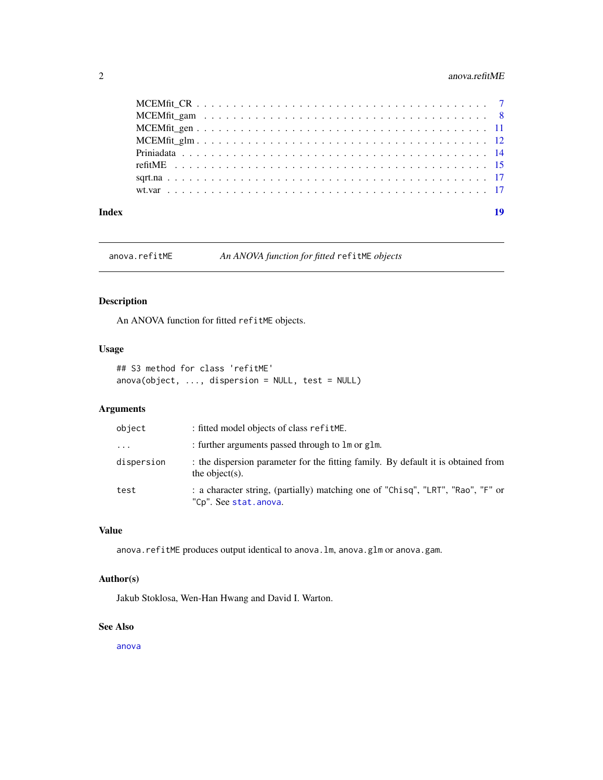## <span id="page-1-0"></span>2 anova.refitME

| Index | 19 |
|-------|----|

anova.refitME *An ANOVA function for fitted* refitME *objects*

## Description

An ANOVA function for fitted refitME objects.

## Usage

```
## S3 method for class 'refitME'
anova(object, ..., dispersion = NULL, test = NULL)
```
## Arguments

| object     | : fitted model objects of class refitME.                                                                 |
|------------|----------------------------------------------------------------------------------------------------------|
| $\cdots$   | : further arguments passed through to lm or glm.                                                         |
| dispersion | : the dispersion parameter for the fitting family. By default it is obtained from<br>the object(s).      |
| test       | : a character string, (partially) matching one of "Chisq", "LRT", "Rao", "F" or<br>"Cp". See stat.anova. |

## Value

anova.refitME produces output identical to anova.lm, anova.glm or anova.gam.

## Author(s)

Jakub Stoklosa, Wen-Han Hwang and David I. Warton.

#### See Also

[anova](#page-0-0)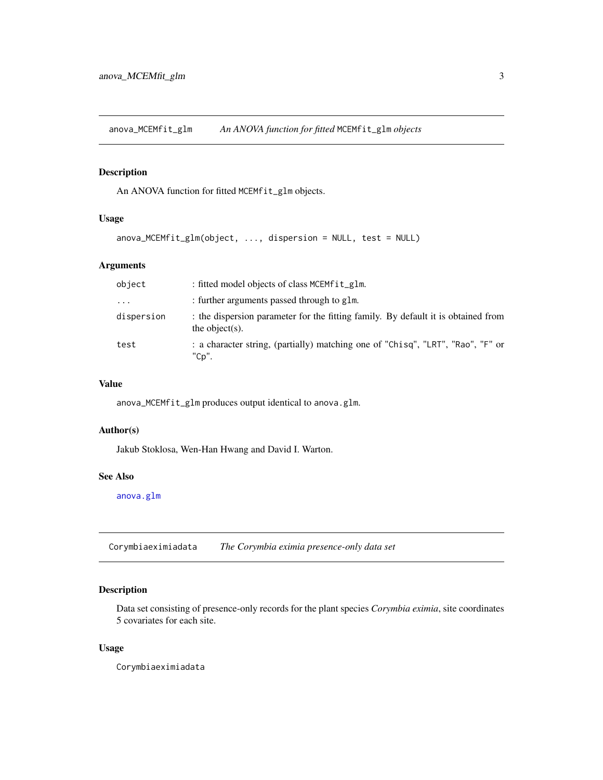<span id="page-2-0"></span>anova\_MCEMfit\_glm *An ANOVA function for fitted* MCEMfit\_glm *objects*

## Description

An ANOVA function for fitted MCEMfit\_glm objects.

## Usage

```
anova_MCEMfit_glm(object, ..., dispersion = NULL, test = NULL)
```
## Arguments

| object     | : fitted model objects of class MCEMfit_glm.                                                        |
|------------|-----------------------------------------------------------------------------------------------------|
| $\ddotsc$  | : further arguments passed through to glm.                                                          |
| dispersion | : the dispersion parameter for the fitting family. By default it is obtained from<br>the object(s). |
| test       | : a character string, (partially) matching one of "Chisq", "LRT", "Rao", "F" or<br>"Cp".            |

#### Value

anova\_MCEMfit\_glm produces output identical to anova.glm.

### Author(s)

Jakub Stoklosa, Wen-Han Hwang and David I. Warton.

## See Also

[anova.glm](#page-0-0)

Corymbiaeximiadata *The Corymbia eximia presence-only data set*

## Description

Data set consisting of presence-only records for the plant species *Corymbia eximia*, site coordinates 5 covariates for each site.

## Usage

Corymbiaeximiadata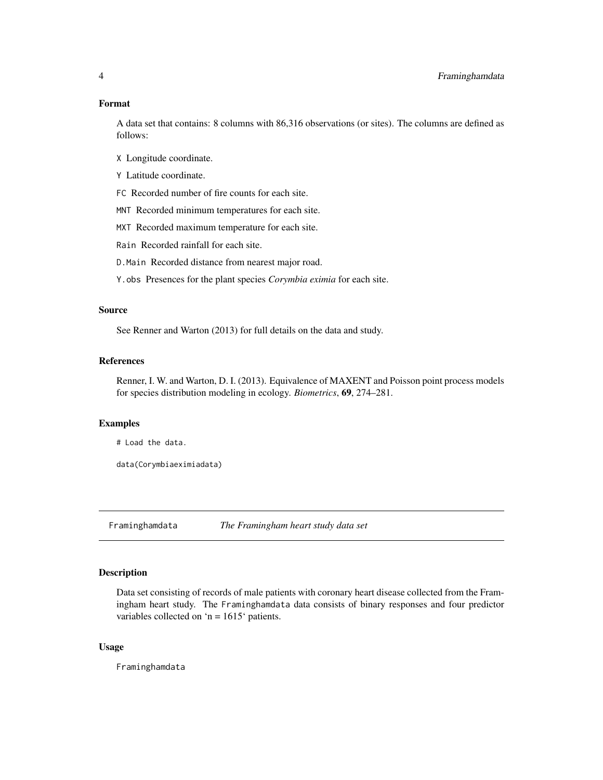#### <span id="page-3-0"></span>Format

A data set that contains: 8 columns with 86,316 observations (or sites). The columns are defined as follows:

- X Longitude coordinate.
- Y Latitude coordinate.

FC Recorded number of fire counts for each site.

MNT Recorded minimum temperatures for each site.

MXT Recorded maximum temperature for each site.

Rain Recorded rainfall for each site.

D.Main Recorded distance from nearest major road.

Y.obs Presences for the plant species *Corymbia eximia* for each site.

#### Source

See Renner and Warton (2013) for full details on the data and study.

#### References

Renner, I. W. and Warton, D. I. (2013). Equivalence of MAXENT and Poisson point process models for species distribution modeling in ecology. *Biometrics*, 69, 274–281.

#### Examples

```
# Load the data.
```

```
data(Corymbiaeximiadata)
```
Framinghamdata *The Framingham heart study data set*

#### Description

Data set consisting of records of male patients with coronary heart disease collected from the Framingham heart study. The Framinghamdata data consists of binary responses and four predictor variables collected on 'n =  $1615$ ' patients.

#### Usage

Framinghamdata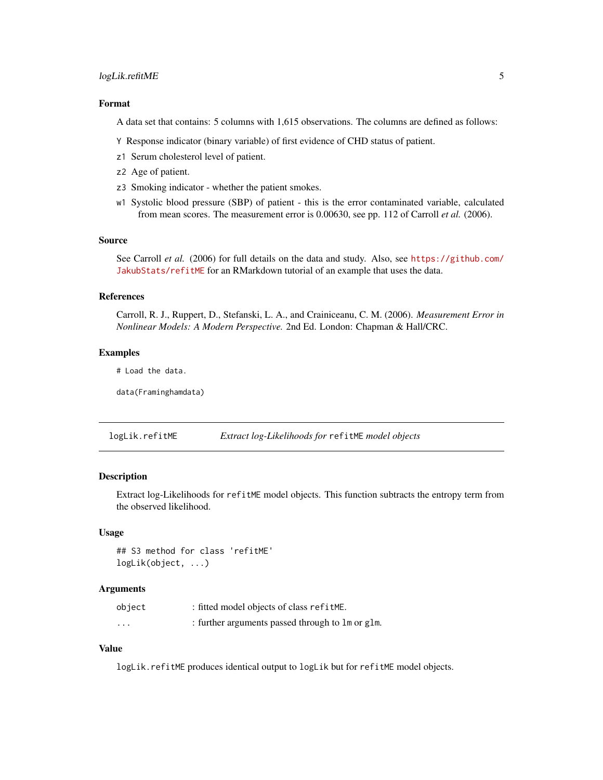## <span id="page-4-0"></span>logLik.refitME 5

## Format

A data set that contains: 5 columns with 1,615 observations. The columns are defined as follows:

Y Response indicator (binary variable) of first evidence of CHD status of patient.

- z1 Serum cholesterol level of patient.
- z2 Age of patient.
- z3 Smoking indicator whether the patient smokes.
- w1 Systolic blood pressure (SBP) of patient this is the error contaminated variable, calculated from mean scores. The measurement error is 0.00630, see pp. 112 of Carroll *et al.* (2006).

#### Source

See Carroll *et al.* (2006) for full details on the data and study. Also, see [https://github.com/](https://github.com/JakubStats/refitME) [JakubStats/refitME](https://github.com/JakubStats/refitME) for an RMarkdown tutorial of an example that uses the data.

#### References

Carroll, R. J., Ruppert, D., Stefanski, L. A., and Crainiceanu, C. M. (2006). *Measurement Error in Nonlinear Models: A Modern Perspective.* 2nd Ed. London: Chapman & Hall/CRC.

#### Examples

# Load the data.

data(Framinghamdata)

logLik.refitME *Extract log-Likelihoods for* refitME *model objects*

## Description

Extract log-Likelihoods for refitME model objects. This function subtracts the entropy term from the observed likelihood.

#### Usage

```
## S3 method for class 'refitME'
logLik(object, ...)
```
#### Arguments

| object   | : fitted model objects of class refitME.         |
|----------|--------------------------------------------------|
| $\cdots$ | : further arguments passed through to lm or glm. |

#### Value

logLik.refitME produces identical output to logLik but for refitME model objects.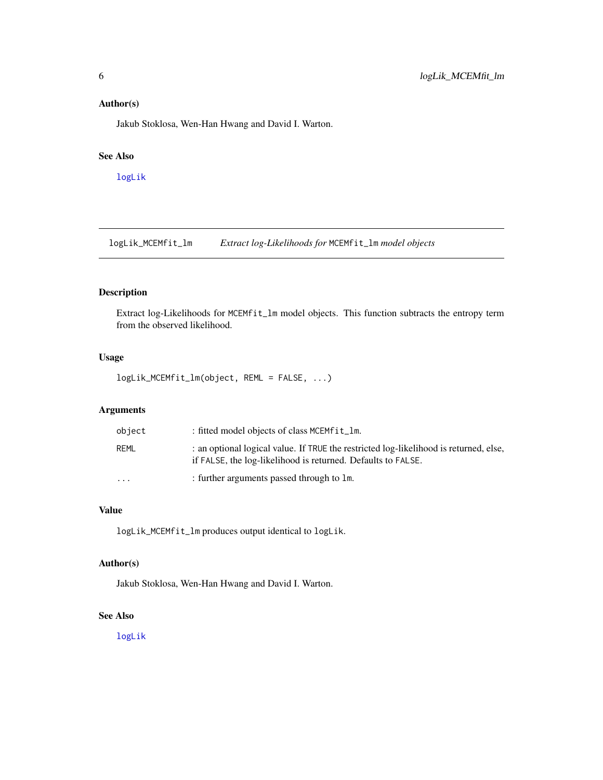## <span id="page-5-0"></span>Author(s)

Jakub Stoklosa, Wen-Han Hwang and David I. Warton.

#### See Also

[logLik](#page-0-0)

logLik\_MCEMfit\_lm *Extract log-Likelihoods for* MCEMfit\_lm *model objects*

## Description

Extract log-Likelihoods for MCEMfit\_lm model objects. This function subtracts the entropy term from the observed likelihood.

## Usage

logLik\_MCEMfit\_lm(object, REML = FALSE, ...)

## Arguments

| object    | : fitted model objects of class MCEMfit_1m.                                                                                                           |
|-----------|-------------------------------------------------------------------------------------------------------------------------------------------------------|
| REML      | : an optional logical value. If TRUE the restricted log-likelihood is returned, else,<br>if FALSE, the log-likelihood is returned. Defaults to FALSE. |
| $\ddotsc$ | : further arguments passed through to 1m.                                                                                                             |

## Value

logLik\_MCEMfit\_lm produces output identical to logLik.

## Author(s)

Jakub Stoklosa, Wen-Han Hwang and David I. Warton.

#### See Also

[logLik](#page-0-0)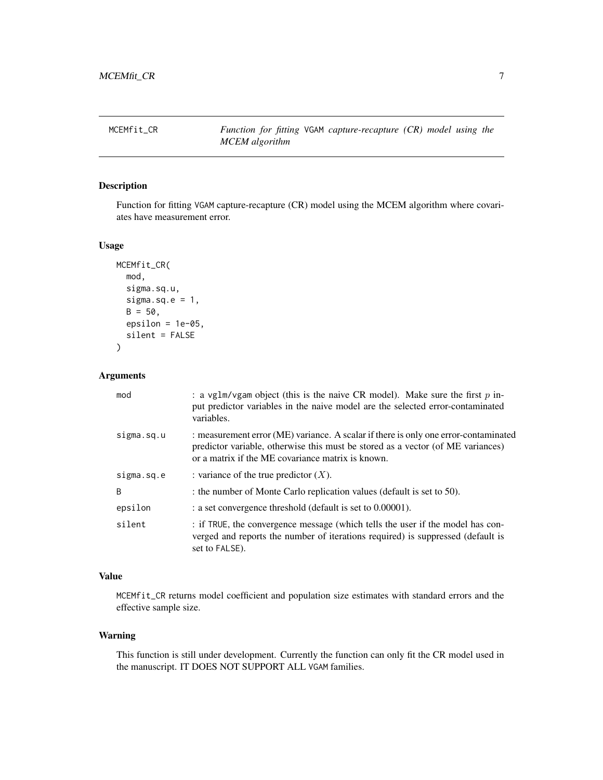<span id="page-6-1"></span><span id="page-6-0"></span>

## Description

Function for fitting VGAM capture-recapture (CR) model using the MCEM algorithm where covariates have measurement error.

#### Usage

```
MCEMfit_CR(
  mod,
  sigma.sq.u,
  sigma.sq.e = 1,
  B = 50,
  epsilon = 1e-05,
  silent = FALSE
\mathcal{L}
```
## Arguments

| mod          | : a vglm/vgam object (this is the naive CR model). Make sure the first $p$ in-<br>put predictor variables in the naive model are the selected error-contaminated<br>variables.                                              |
|--------------|-----------------------------------------------------------------------------------------------------------------------------------------------------------------------------------------------------------------------------|
| sigma.sq.u   | : measurement error (ME) variance. A scalar if there is only one error-contaminated<br>predictor variable, otherwise this must be stored as a vector (of ME variances)<br>or a matrix if the ME covariance matrix is known. |
| sigma.sq.e   | : variance of the true predictor $(X)$ .                                                                                                                                                                                    |
| <sup>B</sup> | : the number of Monte Carlo replication values (default is set to 50).                                                                                                                                                      |
| epsilon      | : a set convergence threshold (default is set to 0.00001).                                                                                                                                                                  |
| silent       | : if TRUE, the convergence message (which tells the user if the model has con-<br>verged and reports the number of iterations required) is suppressed (default is<br>set to FALSE).                                         |

#### Value

MCEMfit\_CR returns model coefficient and population size estimates with standard errors and the effective sample size.

#### Warning

This function is still under development. Currently the function can only fit the CR model used in the manuscript. IT DOES NOT SUPPORT ALL VGAM families.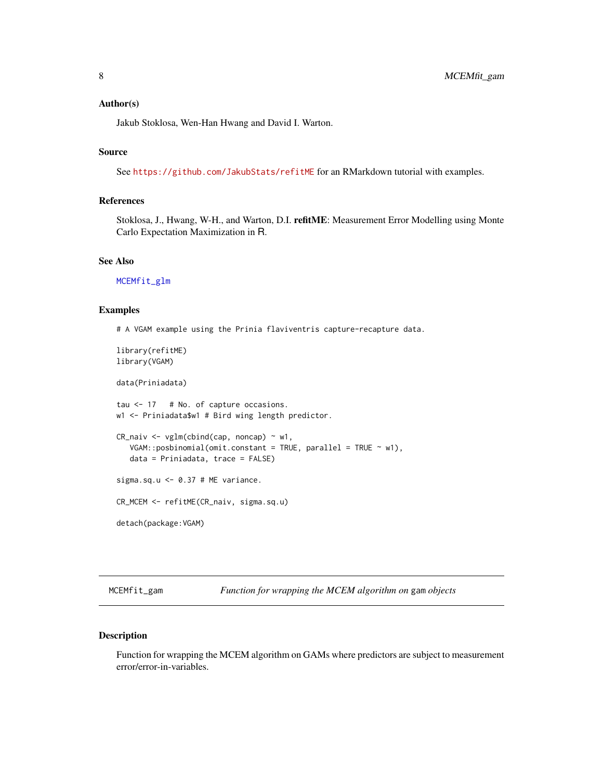#### <span id="page-7-0"></span>Author(s)

Jakub Stoklosa, Wen-Han Hwang and David I. Warton.

## Source

See <https://github.com/JakubStats/refitME> for an RMarkdown tutorial with examples.

## References

Stoklosa, J., Hwang, W-H., and Warton, D.I. refitME: Measurement Error Modelling using Monte Carlo Expectation Maximization in R.

#### See Also

[MCEMfit\\_glm](#page-11-1)

#### Examples

# A VGAM example using the Prinia flaviventris capture-recapture data.

library(refitME) library(VGAM)

data(Priniadata)

tau <- 17 # No. of capture occasions. w1 <- Priniadata\$w1 # Bird wing length predictor.

```
CR\_naiv \leq ylm(clind(cap, noncap) \sim w1,
  VGAM::posbinomial(omit.config) = TRUE, parallel = TRUE ~ w1),
  data = Priniadata, trace = FALSE)
```
sigma.sq.u  $<-$  0.37 # ME variance.

CR\_MCEM <- refitME(CR\_naiv, sigma.sq.u)

detach(package:VGAM)

<span id="page-7-1"></span>MCEMfit\_gam *Function for wrapping the MCEM algorithm on* gam *objects*

#### Description

Function for wrapping the MCEM algorithm on GAMs where predictors are subject to measurement error/error-in-variables.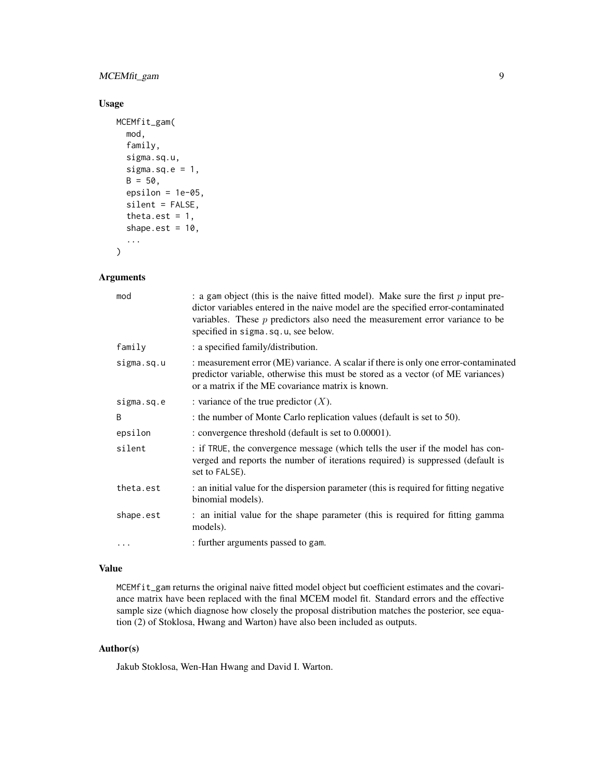## MCEMfit\_gam 9

## Usage

```
MCEMfit_gam(
 mod,
  family,
  sigma.sq.u,
  sigma.sq.e = 1,
 B = 50,epsilon = 1e-05,
  silent = FALSE,
  theta.est = 1,
  shape.est = 10,
  ...
)
```
## Arguments

| mod        | : a gam object (this is the naive fitted model). Make sure the first $p$ input pre-<br>dictor variables entered in the naive model are the specified error-contaminated<br>variables. These $p$ predictors also need the measurement error variance to be<br>specified in sigma.sq.u, see below. |
|------------|--------------------------------------------------------------------------------------------------------------------------------------------------------------------------------------------------------------------------------------------------------------------------------------------------|
| family     | : a specified family/distribution.                                                                                                                                                                                                                                                               |
| sigma.sq.u | : measurement error (ME) variance. A scalar if there is only one error-contaminated<br>predictor variable, otherwise this must be stored as a vector (of ME variances)<br>or a matrix if the ME covariance matrix is known.                                                                      |
| sigma.sq.e | : variance of the true predictor $(X)$ .                                                                                                                                                                                                                                                         |
| B          | : the number of Monte Carlo replication values (default is set to 50).                                                                                                                                                                                                                           |
| epsilon    | : convergence threshold (default is set to 0.00001).                                                                                                                                                                                                                                             |
| silent     | : if TRUE, the convergence message (which tells the user if the model has con-<br>verged and reports the number of iterations required) is suppressed (default is<br>set to FALSE).                                                                                                              |
| theta.est  | : an initial value for the dispersion parameter (this is required for fitting negative<br>binomial models).                                                                                                                                                                                      |
| shape.est  | : an initial value for the shape parameter (this is required for fitting gamma<br>models).                                                                                                                                                                                                       |
| .          | : further arguments passed to gam.                                                                                                                                                                                                                                                               |

## Value

MCEMfit\_gam returns the original naive fitted model object but coefficient estimates and the covariance matrix have been replaced with the final MCEM model fit. Standard errors and the effective sample size (which diagnose how closely the proposal distribution matches the posterior, see equation (2) of Stoklosa, Hwang and Warton) have also been included as outputs.

## Author(s)

Jakub Stoklosa, Wen-Han Hwang and David I. Warton.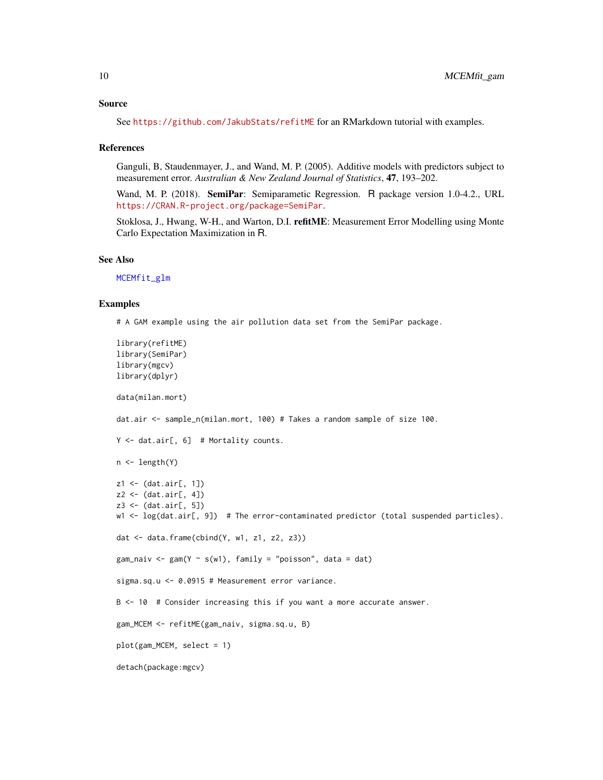<span id="page-9-0"></span>See <https://github.com/JakubStats/refitME> for an RMarkdown tutorial with examples.

#### References

Ganguli, B, Staudenmayer, J., and Wand, M. P. (2005). Additive models with predictors subject to measurement error. *Australian & New Zealand Journal of Statistics*, 47, 193–202.

Wand, M. P. (2018). SemiPar: Semiparametic Regression. R package version 1.0-4.2., URL <https://CRAN.R-project.org/package=SemiPar>.

Stoklosa, J., Hwang, W-H., and Warton, D.I. refitME: Measurement Error Modelling using Monte Carlo Expectation Maximization in R.

#### See Also

[MCEMfit\\_glm](#page-11-1)

#### Examples

# A GAM example using the air pollution data set from the SemiPar package.

```
library(refitME)
library(SemiPar)
library(mgcv)
library(dplyr)
data(milan.mort)
dat.air <- sample_n(milan.mort, 100) # Takes a random sample of size 100.
Y <- dat.air[, 6] # Mortality counts.
n <- length(Y)
z1 <- (dat.air[, 1])
z2 \leftarrow (dat-air[, 4])z3 <- (dat.air[, 5])
w1 <- log(dat.air[, 9]) # The error-contaminated predictor (total suspended particles).
dat <- data.frame(cbind(Y, w1, z1, z2, z3))
gam_naiv <- gam(Y \sim s(w1), family = "poisson", data = dat)
sigma.sq.u <- 0.0915 # Measurement error variance.
B <- 10 # Consider increasing this if you want a more accurate answer.
gam_MCEM <- refitME(gam_naiv, sigma.sq.u, B)
plot(gam_MCEM, select = 1)
detach(package:mgcv)
```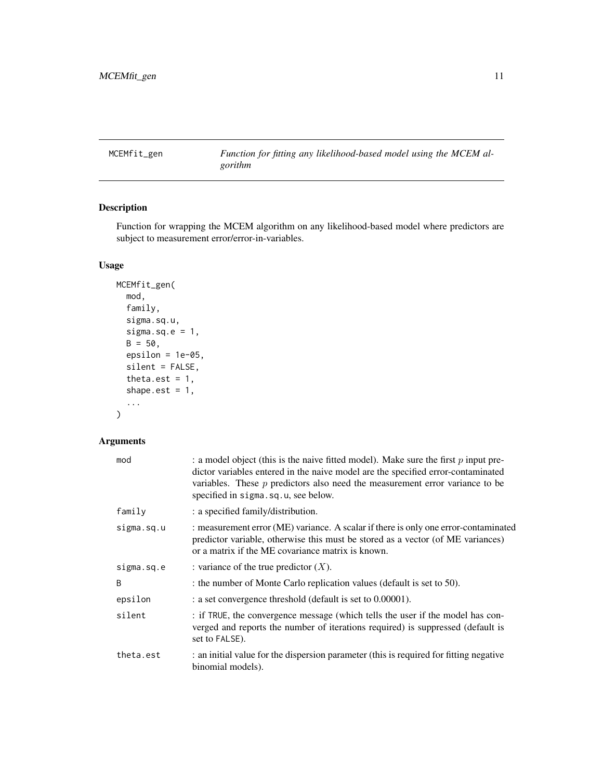<span id="page-10-1"></span><span id="page-10-0"></span>MCEMfit\_gen *Function for fitting any likelihood-based model using the MCEM algorithm*

## Description

Function for wrapping the MCEM algorithm on any likelihood-based model where predictors are subject to measurement error/error-in-variables.

## Usage

```
MCEMfit_gen(
 mod,
  family,
  sigma.sq.u,
  sigma.sq.e = 1,
 B = 50,
 epsilon = 1e-05,
  silent = FALSE,
  theta.est = 1,
  shape.est = 1,
  ...
)
```
## Arguments

| mod        | : a model object (this is the naive fitted model). Make sure the first $p$ input pre-<br>dictor variables entered in the naive model are the specified error-contaminated<br>variables. These $p$ predictors also need the measurement error variance to be<br>specified in sigma.sq.u, see below. |
|------------|----------------------------------------------------------------------------------------------------------------------------------------------------------------------------------------------------------------------------------------------------------------------------------------------------|
| family     | : a specified family/distribution.                                                                                                                                                                                                                                                                 |
| sigma.sq.u | : measurement error (ME) variance. A scalar if there is only one error-contaminated<br>predictor variable, otherwise this must be stored as a vector (of ME variances)<br>or a matrix if the ME covariance matrix is known.                                                                        |
| sigma.sq.e | : variance of the true predictor $(X)$ .                                                                                                                                                                                                                                                           |
| B          | : the number of Monte Carlo replication values (default is set to 50).                                                                                                                                                                                                                             |
| epsilon    | : a set convergence threshold (default is set to 0.00001).                                                                                                                                                                                                                                         |
| silent     | : if TRUE, the convergence message (which tells the user if the model has con-<br>verged and reports the number of iterations required) is suppressed (default is<br>set to FALSE).                                                                                                                |
| theta.est  | : an initial value for the dispersion parameter (this is required for fitting negative<br>binomial models).                                                                                                                                                                                        |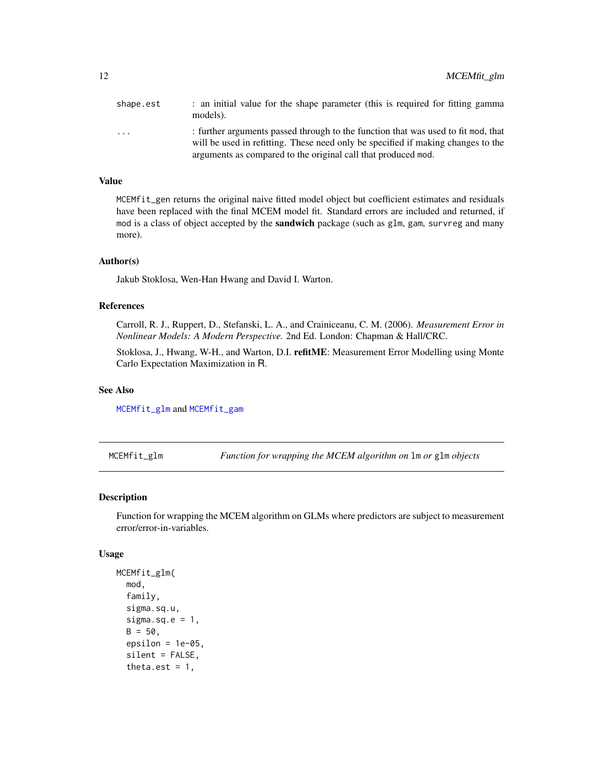<span id="page-11-0"></span>

| shape.est               | : an initial value for the shape parameter (this is required for fitting gamma<br>models).                                                                                                                                             |
|-------------------------|----------------------------------------------------------------------------------------------------------------------------------------------------------------------------------------------------------------------------------------|
| $\cdot$ $\cdot$ $\cdot$ | : further arguments passed through to the function that was used to fit mod, that<br>will be used in refitting. These need only be specified if making changes to the<br>arguments as compared to the original call that produced mod. |

#### Value

MCEMfit\_gen returns the original naive fitted model object but coefficient estimates and residuals have been replaced with the final MCEM model fit. Standard errors are included and returned, if mod is a class of object accepted by the **sandwich** package (such as glm, gam, survreg and many more).

## Author(s)

Jakub Stoklosa, Wen-Han Hwang and David I. Warton.

#### References

Carroll, R. J., Ruppert, D., Stefanski, L. A., and Crainiceanu, C. M. (2006). *Measurement Error in Nonlinear Models: A Modern Perspective.* 2nd Ed. London: Chapman & Hall/CRC.

Stoklosa, J., Hwang, W-H., and Warton, D.I. refitME: Measurement Error Modelling using Monte Carlo Expectation Maximization in R.

## See Also

[MCEMfit\\_glm](#page-11-1) and [MCEMfit\\_gam](#page-7-1)

<span id="page-11-1"></span>MCEMfit\_glm *Function for wrapping the MCEM algorithm on* lm *or* glm *objects*

#### Description

Function for wrapping the MCEM algorithm on GLMs where predictors are subject to measurement error/error-in-variables.

#### Usage

```
MCEMfit_glm(
  mod,
  family,
  sigma.sq.u,
  sigma.sq.e = 1,
  B = 50,
  epsilon = 1e-05,
  silent = FALSE,
  theta.est = 1,
```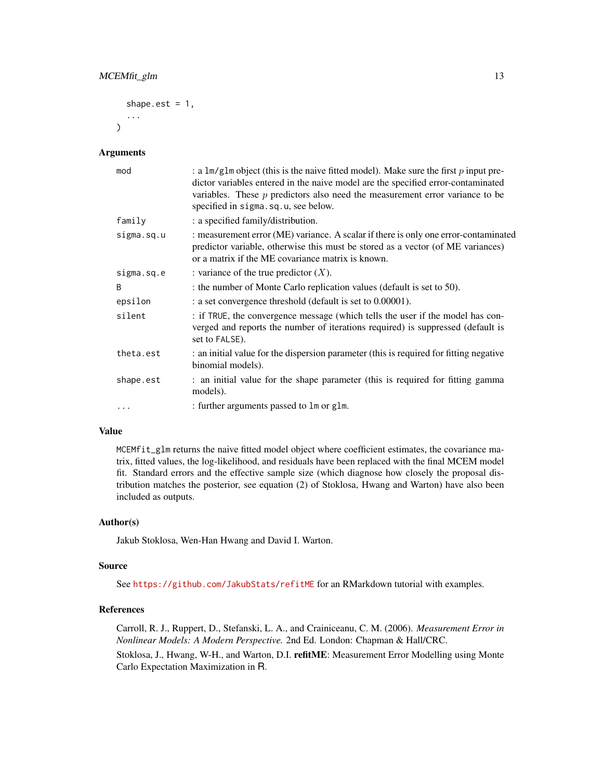```
shape.est = 1,
...
```
#### Arguments

 $\lambda$ 

| mod        | : a lm/glm object (this is the naive fitted model). Make sure the first p input pre-<br>dictor variables entered in the naive model are the specified error-contaminated<br>variables. These $p$ predictors also need the measurement error variance to be<br>specified in sigma.sq.u, see below. |
|------------|---------------------------------------------------------------------------------------------------------------------------------------------------------------------------------------------------------------------------------------------------------------------------------------------------|
| family     | : a specified family/distribution.                                                                                                                                                                                                                                                                |
| sigma.sq.u | : measurement error (ME) variance. A scalar if there is only one error-contaminated<br>predictor variable, otherwise this must be stored as a vector (of ME variances)<br>or a matrix if the ME covariance matrix is known.                                                                       |
| sigma.sq.e | : variance of the true predictor $(X)$ .                                                                                                                                                                                                                                                          |
| B          | : the number of Monte Carlo replication values (default is set to 50).                                                                                                                                                                                                                            |
| epsilon    | : a set convergence threshold (default is set to 0.00001).                                                                                                                                                                                                                                        |
| silent     | : if TRUE, the convergence message (which tells the user if the model has con-<br>verged and reports the number of iterations required) is suppressed (default is<br>set to FALSE).                                                                                                               |
| theta.est  | : an initial value for the dispersion parameter (this is required for fitting negative<br>binomial models).                                                                                                                                                                                       |
| shape.est  | : an initial value for the shape parameter (this is required for fitting gamma<br>models).                                                                                                                                                                                                        |
| $\ddots$   | : further arguments passed to lm or glm.                                                                                                                                                                                                                                                          |

#### Value

MCEMfit\_glm returns the naive fitted model object where coefficient estimates, the covariance matrix, fitted values, the log-likelihood, and residuals have been replaced with the final MCEM model fit. Standard errors and the effective sample size (which diagnose how closely the proposal distribution matches the posterior, see equation (2) of Stoklosa, Hwang and Warton) have also been included as outputs.

#### Author(s)

Jakub Stoklosa, Wen-Han Hwang and David I. Warton.

#### Source

See <https://github.com/JakubStats/refitME> for an RMarkdown tutorial with examples.

## References

Carroll, R. J., Ruppert, D., Stefanski, L. A., and Crainiceanu, C. M. (2006). *Measurement Error in Nonlinear Models: A Modern Perspective.* 2nd Ed. London: Chapman & Hall/CRC. Stoklosa, J., Hwang, W-H., and Warton, D.I. refitME: Measurement Error Modelling using Monte Carlo Expectation Maximization in R.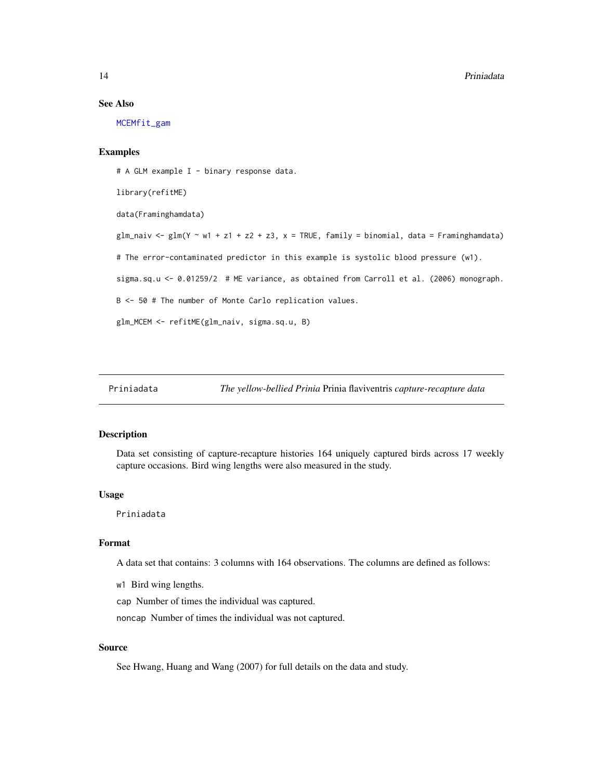#### See Also

[MCEMfit\\_gam](#page-7-1)

## Examples

# A GLM example I - binary response data. library(refitME) data(Framinghamdata)  $glm\_naiv \leq glm(Y \sim w1 + z1 + z2 + z3, x = TRUE, family = binomial, data = Framinghamdata)$ # The error-contaminated predictor in this example is systolic blood pressure (w1). sigma.sq.u <- 0.01259/2 # ME variance, as obtained from Carroll et al. (2006) monograph. B <- 50 # The number of Monte Carlo replication values. glm\_MCEM <- refitME(glm\_naiv, sigma.sq.u, B)

## Description

Data set consisting of capture-recapture histories 164 uniquely captured birds across 17 weekly capture occasions. Bird wing lengths were also measured in the study.

#### Usage

Priniadata

#### Format

A data set that contains: 3 columns with 164 observations. The columns are defined as follows:

w1 Bird wing lengths.

cap Number of times the individual was captured.

noncap Number of times the individual was not captured.

#### Source

See Hwang, Huang and Wang (2007) for full details on the data and study.

<span id="page-13-0"></span>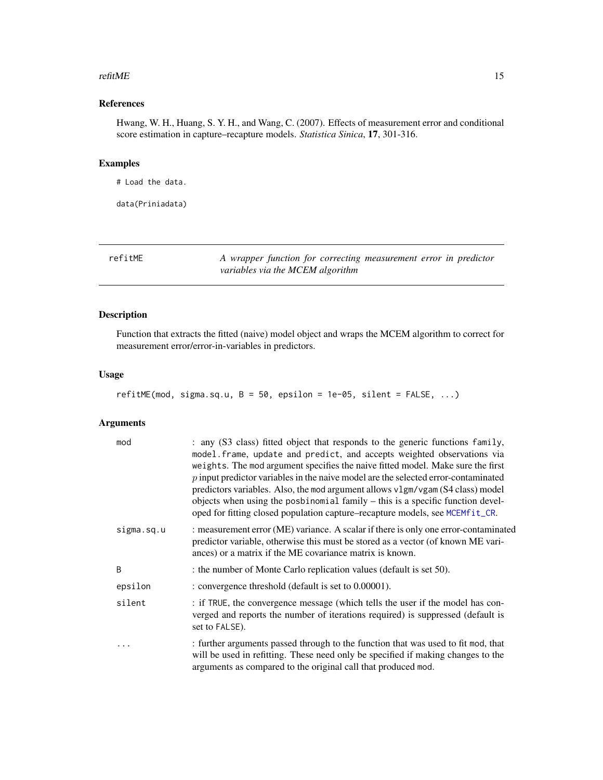#### <span id="page-14-0"></span>refitME  $\qquad 15$

## References

Hwang, W. H., Huang, S. Y. H., and Wang, C. (2007). Effects of measurement error and conditional score estimation in capture–recapture models. *Statistica Sinica*, 17, 301-316.

## Examples

# Load the data.

data(Priniadata)

refitME *A wrapper function for correcting measurement error in predictor variables via the MCEM algorithm*

## Description

Function that extracts the fitted (naive) model object and wraps the MCEM algorithm to correct for measurement error/error-in-variables in predictors.

### Usage

```
refitME(mod, sigma.sq.u, B = 50, epsilon = 1e-05, silent = FALSE, ...)
```
## Arguments

| mod        | : any (S3 class) fitted object that responds to the generic functions family,<br>model. frame, update and predict, and accepts weighted observations via<br>weights. The mod argument specifies the naive fitted model. Make sure the first<br>$p$ input predictor variables in the naive model are the selected error-contaminated<br>predictors variables. Also, the mod argument allows v1gm/vgam (S4 class) model<br>objects when using the posbinomial family – this is a specific function devel-<br>oped for fitting closed population capture–recapture models, see MCEMfit_CR. |
|------------|-----------------------------------------------------------------------------------------------------------------------------------------------------------------------------------------------------------------------------------------------------------------------------------------------------------------------------------------------------------------------------------------------------------------------------------------------------------------------------------------------------------------------------------------------------------------------------------------|
| sigma.sq.u | : measurement error (ME) variance. A scalar if there is only one error-contaminated<br>predictor variable, otherwise this must be stored as a vector (of known ME vari-<br>ances) or a matrix if the ME covariance matrix is known.                                                                                                                                                                                                                                                                                                                                                     |
| B          | : the number of Monte Carlo replication values (default is set 50).                                                                                                                                                                                                                                                                                                                                                                                                                                                                                                                     |
| epsilon    | : convergence threshold (default is set to 0.00001).                                                                                                                                                                                                                                                                                                                                                                                                                                                                                                                                    |
| silent     | : if TRUE, the convergence message (which tells the user if the model has con-<br>verged and reports the number of iterations required) is suppressed (default is<br>set to FALSE).                                                                                                                                                                                                                                                                                                                                                                                                     |
| .          | : further arguments passed through to the function that was used to fit mod, that<br>will be used in refitting. These need only be specified if making changes to the<br>arguments as compared to the original call that produced mod.                                                                                                                                                                                                                                                                                                                                                  |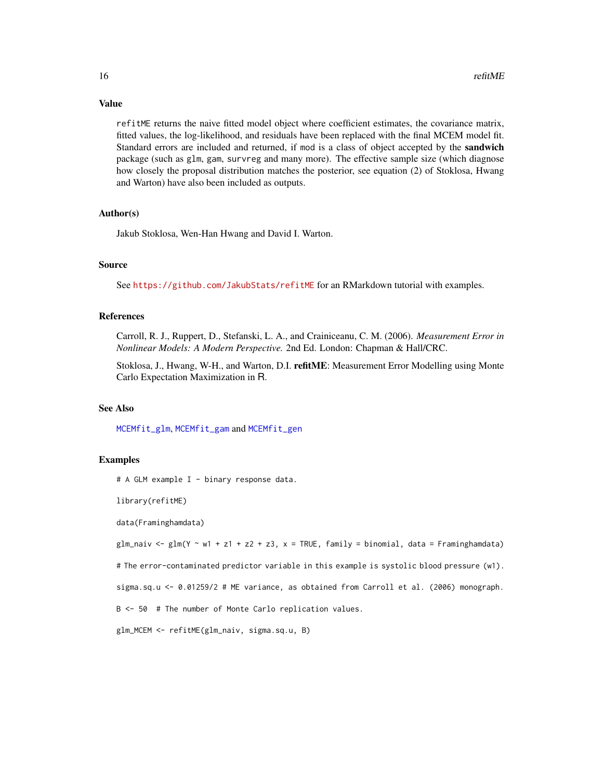#### <span id="page-15-0"></span>Value

refitME returns the naive fitted model object where coefficient estimates, the covariance matrix, fitted values, the log-likelihood, and residuals have been replaced with the final MCEM model fit. Standard errors are included and returned, if mod is a class of object accepted by the **sandwich** package (such as glm, gam, survreg and many more). The effective sample size (which diagnose how closely the proposal distribution matches the posterior, see equation (2) of Stoklosa, Hwang and Warton) have also been included as outputs.

#### Author(s)

Jakub Stoklosa, Wen-Han Hwang and David I. Warton.

#### Source

See <https://github.com/JakubStats/refitME> for an RMarkdown tutorial with examples.

## References

Carroll, R. J., Ruppert, D., Stefanski, L. A., and Crainiceanu, C. M. (2006). *Measurement Error in Nonlinear Models: A Modern Perspective.* 2nd Ed. London: Chapman & Hall/CRC.

Stoklosa, J., Hwang, W-H., and Warton, D.I. refitME: Measurement Error Modelling using Monte Carlo Expectation Maximization in R.

#### See Also

[MCEMfit\\_glm](#page-11-1), [MCEMfit\\_gam](#page-7-1) and [MCEMfit\\_gen](#page-10-1)

#### Examples

# A GLM example I - binary response data.

library(refitME)

data(Framinghamdata)

glm\_naiv <- glm(Y  $\sim$  w1 + z1 + z2 + z3, x = TRUE, family = binomial, data = Framinghamdata)

# The error-contaminated predictor variable in this example is systolic blood pressure (w1).

sigma.sq.u <- 0.01259/2 # ME variance, as obtained from Carroll et al. (2006) monograph.

B <- 50 # The number of Monte Carlo replication values.

glm\_MCEM <- refitME(glm\_naiv, sigma.sq.u, B)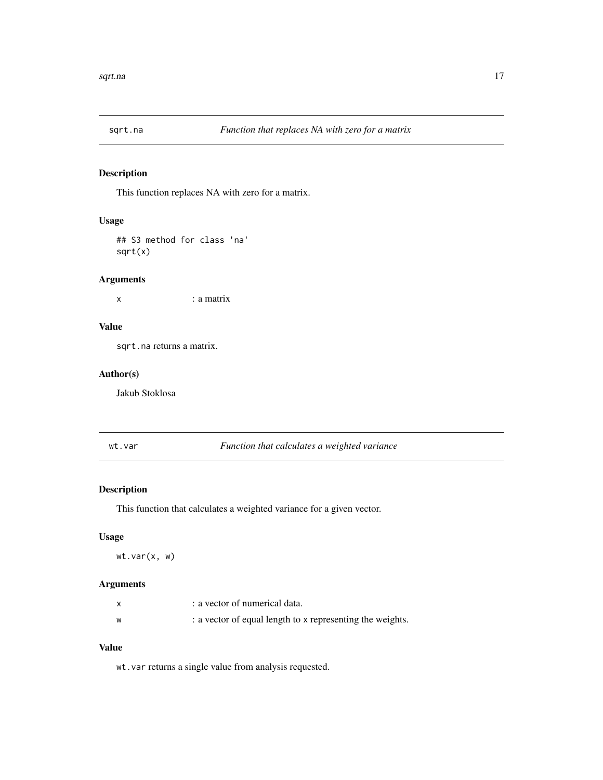<span id="page-16-0"></span>

## Description

This function replaces NA with zero for a matrix.

#### Usage

## S3 method for class 'na' sqrt(x)

#### Arguments

x : a matrix

### Value

sqrt.na returns a matrix.

## Author(s)

Jakub Stoklosa

wt.var *Function that calculates a weighted variance*

## Description

This function that calculates a weighted variance for a given vector.

#### Usage

wt.var(x, w)

## Arguments

|   | a vector of numerical data.                               |
|---|-----------------------------------------------------------|
| w | : a vector of equal length to x representing the weights. |

## Value

wt.var returns a single value from analysis requested.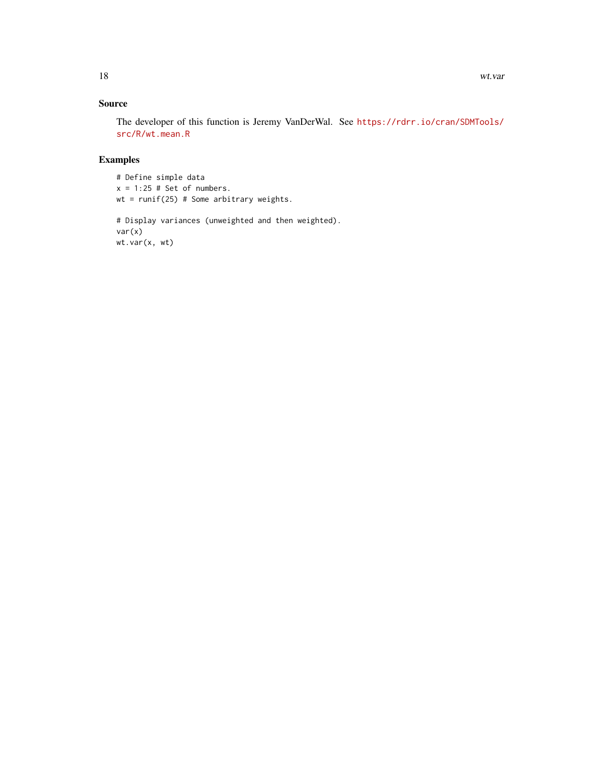## Source

The developer of this function is Jeremy VanDerWal. See [https://rdrr.io/cran/SDMTools/](https://rdrr.io/cran/SDMTools/src/R/wt.mean.R) [src/R/wt.mean.R](https://rdrr.io/cran/SDMTools/src/R/wt.mean.R)

## Examples

# Define simple data  $x = 1:25$  # Set of numbers.  $wt = runif(25) # Some arbitrary weights.$ 

# Display variances (unweighted and then weighted). var(x) wt.var(x, wt)